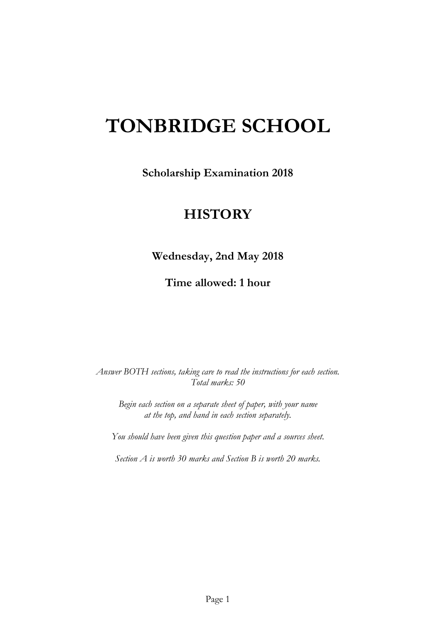# **TONBRIDGE SCHOOL**

**Scholarship Examination 2018**

# **HISTORY**

**Wednesday, 2nd May 2018**

**Time allowed: 1 hour**

*Answer BOTH sections, taking care to read the instructions for each section. Total marks: 50*

*Begin each section on a separate sheet of paper, with your name at the top, and hand in each section separately.*

*You should have been given this question paper and a sources sheet.*

*Section A is worth 30 marks and Section B is worth 20 marks.*